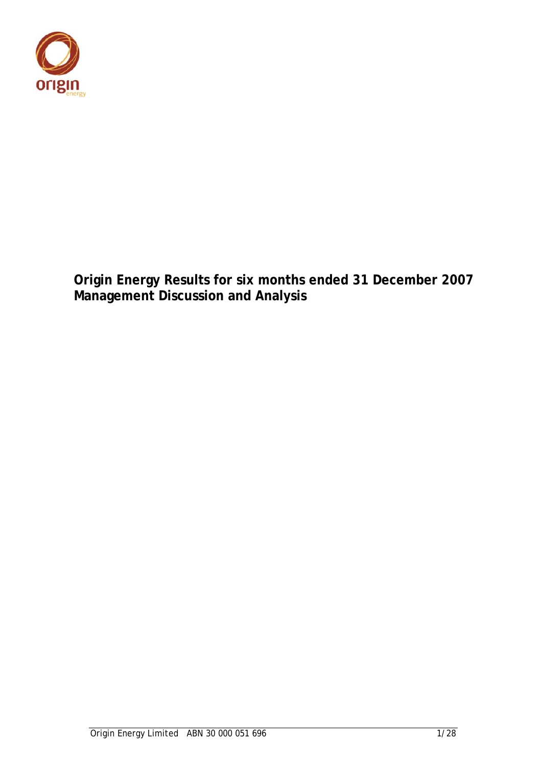

**Origin Energy Results for six months ended 31 December 2007 Management Discussion and Analysis**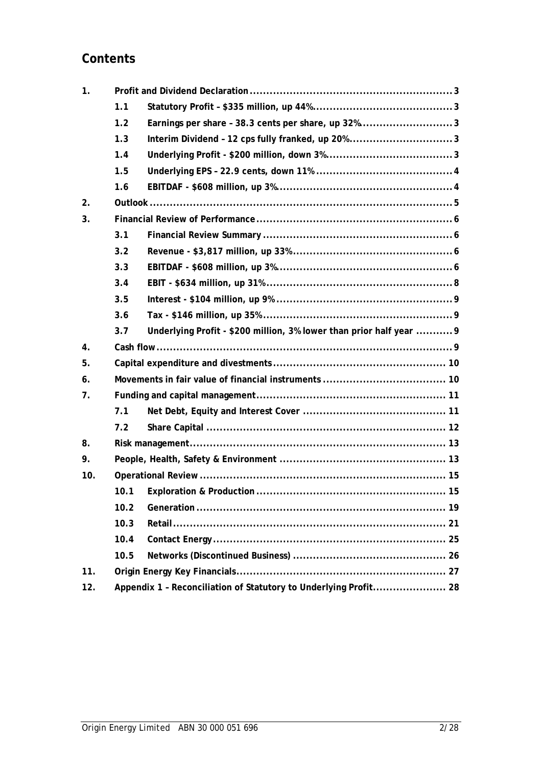# **Contents**

| 1.                 |      |                                                                     |                                                                  |  |  |  |
|--------------------|------|---------------------------------------------------------------------|------------------------------------------------------------------|--|--|--|
|                    | 1.1  |                                                                     |                                                                  |  |  |  |
|                    | 1.2  | Earnings per share - 38.3 cents per share, up 32%3                  |                                                                  |  |  |  |
|                    | 1.3  | Interim Dividend - 12 cps fully franked, up 20%3                    |                                                                  |  |  |  |
|                    | 1.4  |                                                                     |                                                                  |  |  |  |
|                    | 1.5  |                                                                     |                                                                  |  |  |  |
|                    | 1.6  |                                                                     |                                                                  |  |  |  |
| 2.                 |      |                                                                     |                                                                  |  |  |  |
| 3.                 |      |                                                                     |                                                                  |  |  |  |
|                    | 3.1  |                                                                     |                                                                  |  |  |  |
|                    | 3.2  |                                                                     |                                                                  |  |  |  |
|                    | 3.3  |                                                                     |                                                                  |  |  |  |
|                    | 3.4  |                                                                     |                                                                  |  |  |  |
|                    | 3.5  |                                                                     |                                                                  |  |  |  |
|                    | 3.6  |                                                                     |                                                                  |  |  |  |
|                    | 3.7  | Underlying Profit - \$200 million, 3% lower than prior half year  9 |                                                                  |  |  |  |
| $\boldsymbol{4}$ . |      |                                                                     |                                                                  |  |  |  |
| 5.                 |      |                                                                     |                                                                  |  |  |  |
| 6.                 |      |                                                                     |                                                                  |  |  |  |
| 7.                 |      |                                                                     |                                                                  |  |  |  |
|                    | 7.1  |                                                                     |                                                                  |  |  |  |
|                    | 7.2  |                                                                     |                                                                  |  |  |  |
| 8.                 |      |                                                                     |                                                                  |  |  |  |
| 9.                 |      |                                                                     |                                                                  |  |  |  |
| 10.                |      |                                                                     |                                                                  |  |  |  |
|                    | 10.1 |                                                                     |                                                                  |  |  |  |
|                    | 10.2 |                                                                     |                                                                  |  |  |  |
|                    | 10.3 |                                                                     |                                                                  |  |  |  |
|                    | 10.4 |                                                                     |                                                                  |  |  |  |
|                    | 10.5 |                                                                     |                                                                  |  |  |  |
| 11.                |      |                                                                     |                                                                  |  |  |  |
|                    |      |                                                                     | Appendix 1 - Reconciliation of Statutory to Underlying Profit 28 |  |  |  |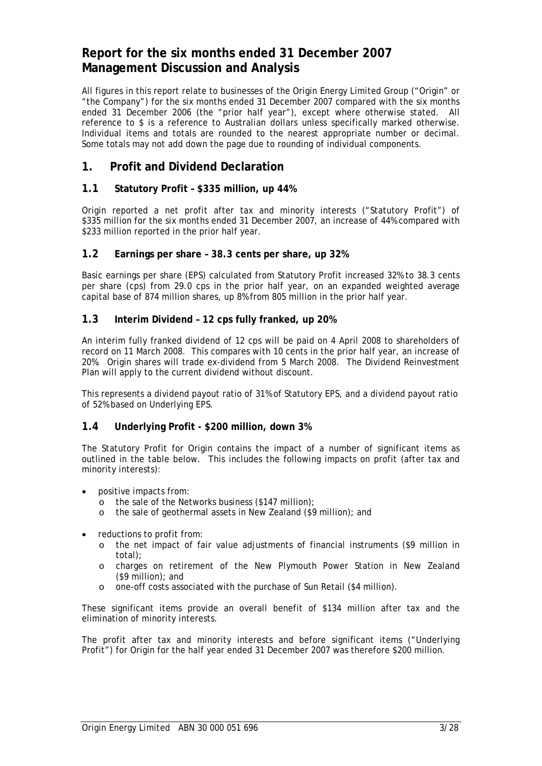## **Report for the six months ended 31 December 2007 Management Discussion and Analysis**

All figures in this report relate to businesses of the Origin Energy Limited Group ("Origin" or "the Company") for the six months ended 31 December 2007 compared with the six months ended 31 December 2006 (the "prior half year"), except where otherwise stated. All reference to \$ is a reference to Australian dollars unless specifically marked otherwise. Individual items and totals are rounded to the nearest appropriate number or decimal. Some totals may not add down the page due to rounding of individual components.

## **1. Profit and Dividend Declaration**

## **1.1 Statutory Profit – \$335 million, up 44%**

Origin reported a net profit after tax and minority interests ("Statutory Profit") of \$335 million for the six months ended 31 December 2007, an increase of 44% compared with \$233 million reported in the prior half year.

## **1.2 Earnings per share – 38.3 cents per share, up 32%**

Basic earnings per share (EPS) calculated from Statutory Profit increased 32% to 38.3 cents per share (cps) from 29.0 cps in the prior half year, on an expanded weighted average capital base of 874 million shares, up 8% from 805 million in the prior half year.

### **1.3 Interim Dividend – 12 cps fully franked, up 20%**

An interim fully franked dividend of 12 cps will be paid on 4 April 2008 to shareholders of record on 11 March 2008. This compares with 10 cents in the prior half year, an increase of 20%. Origin shares will trade ex-dividend from 5 March 2008. The Dividend Reinvestment Plan will apply to the current dividend without discount.

This represents a dividend payout ratio of 31% of Statutory EPS, and a dividend payout ratio of 52% based on Underlying EPS.

## **1.4 Underlying Profit - \$200 million, down 3%**

The Statutory Profit for Origin contains the impact of a number of significant items as outlined in the table below. This includes the following impacts on profit (after tax and minority interests):

- positive impacts from:
	- o the sale of the Networks business (\$147 million);
	- o the sale of geothermal assets in New Zealand (\$9 million); and
- reductions to profit from:
	- o the net impact of fair value adjustments of financial instruments (\$9 million in total);
	- o charges on retirement of the New Plymouth Power Station in New Zealand (\$9 million); and
	- o one-off costs associated with the purchase of Sun Retail (\$4 million).

These significant items provide an overall benefit of \$134 million after tax and the elimination of minority interests.

The profit after tax and minority interests and before significant items ("Underlying Profit") for Origin for the half year ended 31 December 2007 was therefore \$200 million.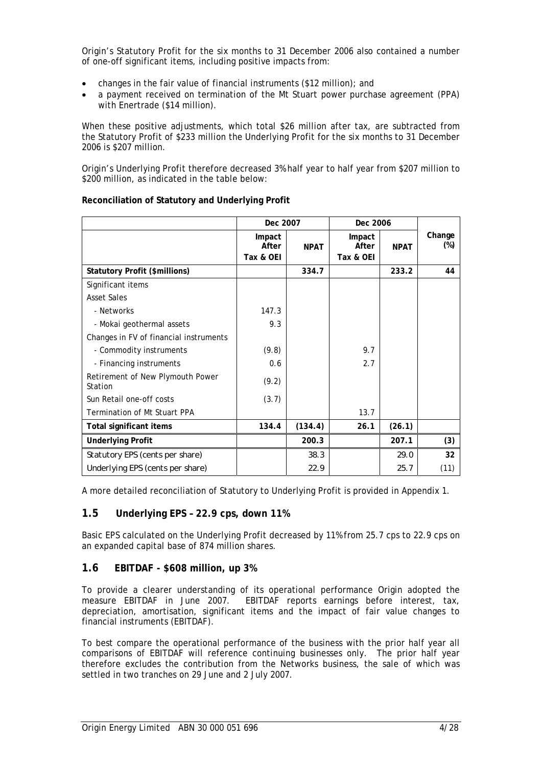Origin's Statutory Profit for the six months to 31 December 2006 also contained a number of one-off significant items, including positive impacts from:

- changes in the fair value of financial instruments (\$12 million); and
- a payment received on termination of the Mt Stuart power purchase agreement (PPA) with Enertrade (\$14 million).

When these positive adjustments, which total \$26 million after tax, are subtracted from the Statutory Profit of \$233 million the Underlying Profit for the six months to 31 December 2006 is \$207 million.

Origin's Underlying Profit therefore decreased 3% half year to half year from \$207 million to \$200 million, as indicated in the table below:

|                                             | Dec 2007                     |             | Dec 2006                     |             |                  |
|---------------------------------------------|------------------------------|-------------|------------------------------|-------------|------------------|
|                                             | Impact<br>After<br>Tax & OEI | <b>NPAT</b> | Impact<br>After<br>Tax & OEI | <b>NPAT</b> | Change<br>$(\%)$ |
| Statutory Profit (\$millions)               |                              | 334.7       |                              | 233.2       | 44               |
| Significant items                           |                              |             |                              |             |                  |
| <b>Asset Sales</b>                          |                              |             |                              |             |                  |
| - Networks                                  | 147.3                        |             |                              |             |                  |
| - Mokai geothermal assets                   | 9.3                          |             |                              |             |                  |
| Changes in FV of financial instruments      |                              |             |                              |             |                  |
| - Commodity instruments                     | (9.8)                        |             | 9.7                          |             |                  |
| - Financing instruments                     | 0.6                          |             | 2.7                          |             |                  |
| Retirement of New Plymouth Power<br>Station | (9.2)                        |             |                              |             |                  |
| Sun Retail one-off costs                    | (3.7)                        |             |                              |             |                  |
| Termination of Mt Stuart PPA                |                              |             | 13.7                         |             |                  |
| Total significant items                     | 134.4                        | (134.4)     | 26.1                         | (26.1)      |                  |
| <b>Underlying Profit</b>                    |                              | 200.3       |                              | 207.1       | (3)              |
| Statutory EPS (cents per share)             |                              | 38.3        |                              | 29.0        | 32               |
| Underlying EPS (cents per share)            |                              | 22.9        |                              | 25.7        | (11)             |

#### **Reconciliation of Statutory and Underlying Profit**

A more detailed reconciliation of Statutory to Underlying Profit is provided in Appendix 1.

## **1.5 Underlying EPS – 22.9 cps, down 11%**

Basic EPS calculated on the Underlying Profit decreased by 11% from 25.7 cps to 22.9 cps on an expanded capital base of 874 million shares.

## **1.6 EBITDAF - \$608 million, up 3%**

To provide a clearer understanding of its operational performance Origin adopted the measure EBITDAF in June 2007. EBITDAF reports earnings before interest, tax, depreciation, amortisation, significant items and the impact of fair value changes to financial instruments (EBITDAF).

To best compare the operational performance of the business with the prior half year all comparisons of EBITDAF will reference continuing businesses only. The prior half year therefore excludes the contribution from the Networks business, the sale of which was settled in two tranches on 29 June and 2 July 2007.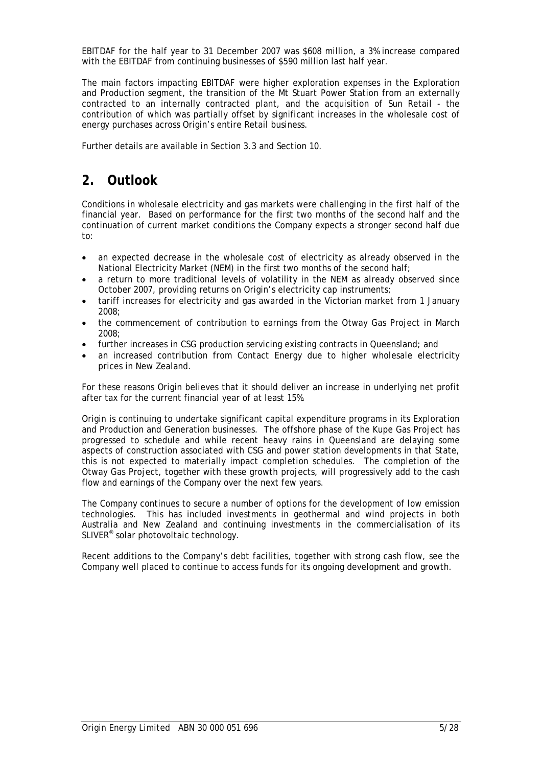EBITDAF for the half year to 31 December 2007 was \$608 million, a 3% increase compared with the EBITDAF from continuing businesses of \$590 million last half year.

The main factors impacting EBITDAF were higher exploration expenses in the Exploration and Production segment, the transition of the Mt Stuart Power Station from an externally contracted to an internally contracted plant, and the acquisition of Sun Retail - the contribution of which was partially offset by significant increases in the wholesale cost of energy purchases across Origin's entire Retail business.

Further details are available in Section 3.3 and Section 10.

# **2. Outlook**

Conditions in wholesale electricity and gas markets were challenging in the first half of the financial year. Based on performance for the first two months of the second half and the continuation of current market conditions the Company expects a stronger second half due to:

- an expected decrease in the wholesale cost of electricity as already observed in the National Electricity Market (NEM) in the first two months of the second half;
- a return to more traditional levels of volatility in the NEM as already observed since October 2007, providing returns on Origin's electricity cap instruments;
- tariff increases for electricity and gas awarded in the Victorian market from 1 January 2008;
- the commencement of contribution to earnings from the Otway Gas Project in March 2008;
- further increases in CSG production servicing existing contracts in Queensland; and
- an increased contribution from Contact Energy due to higher wholesale electricity prices in New Zealand.

For these reasons Origin believes that it should deliver an increase in underlying net profit after tax for the current financial year of at least 15%.

Origin is continuing to undertake significant capital expenditure programs in its Exploration and Production and Generation businesses. The offshore phase of the Kupe Gas Project has progressed to schedule and while recent heavy rains in Queensland are delaying some aspects of construction associated with CSG and power station developments in that State, this is not expected to materially impact completion schedules. The completion of the Otway Gas Project, together with these growth projects, will progressively add to the cash flow and earnings of the Company over the next few years.

The Company continues to secure a number of options for the development of low emission technologies. This has included investments in geothermal and wind projects in both Australia and New Zealand and continuing investments in the commercialisation of its SLIVER® solar photovoltaic technology.

Recent additions to the Company's debt facilities, together with strong cash flow, see the Company well placed to continue to access funds for its ongoing development and growth.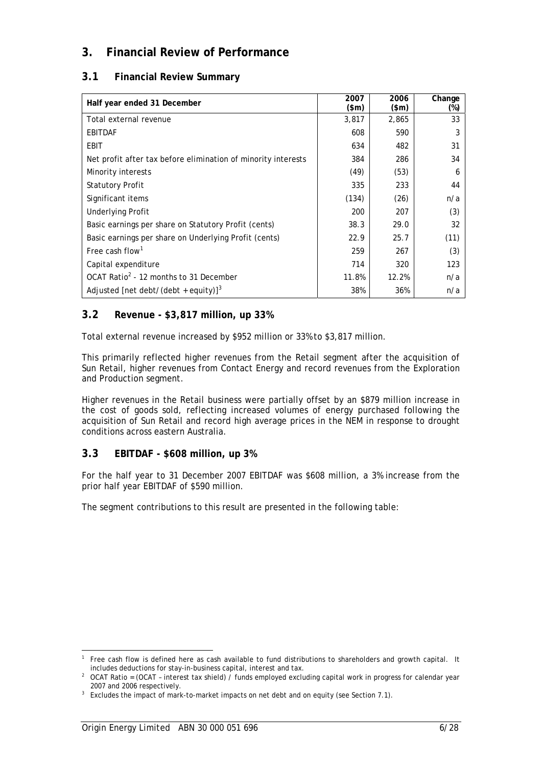## **3. Financial Review of Performance**

## **3.1 Financial Review Summary**

| Half year ended 31 December                                   | 2007<br>$(\$m)$ | 2006<br>$(\$m)$ | Change<br>(%) |
|---------------------------------------------------------------|-----------------|-----------------|---------------|
| Total external revenue                                        | 3,817           | 2,865           | 33            |
| <b>EBITDAF</b>                                                | 608             | 590             | 3             |
| EBIT                                                          | 634             | 482             | 31            |
| Net profit after tax before elimination of minority interests | 384             | 286             | 34            |
| Minority interests                                            | (49)            | (53)            | 6             |
| <b>Statutory Profit</b>                                       | 335             | 233             | 44            |
| Significant items                                             | (134)           | (26)            | n/a           |
| <b>Underlying Profit</b>                                      | 200             | 207             | (3)           |
| Basic earnings per share on Statutory Profit (cents)          | 38.3            | 29.0            | 32            |
| Basic earnings per share on Underlying Profit (cents)         | 22.9            | 25.7            | (11)          |
| Free cash flow <sup>1</sup>                                   | 259             | 267             | (3)           |
| Capital expenditure                                           | 714             | 320             | 123           |
| OCAT Ratio <sup>2</sup> - 12 months to 31 December            | 11.8%           | 12.2%           | n/a           |
| Adjusted [net debt/(debt + equity)] <sup>3</sup>              | 38%             | 36%             | n/a           |

## **3.2 Revenue - \$3,817 million, up 33%**

Total external revenue increased by \$952 million or 33% to \$3,817 million.

This primarily reflected higher revenues from the Retail segment after the acquisition of Sun Retail, higher revenues from Contact Energy and record revenues from the Exploration and Production segment.

Higher revenues in the Retail business were partially offset by an \$879 million increase in the cost of goods sold, reflecting increased volumes of energy purchased following the acquisition of Sun Retail and record high average prices in the NEM in response to drought conditions across eastern Australia.

## **3.3 EBITDAF - \$608 million, up 3%**

For the half year to 31 December 2007 EBITDAF was \$608 million, a 3% increase from the prior half year EBITDAF of \$590 million.

The segment contributions to this result are presented in the following table:

-

<sup>1</sup> Free cash flow is defined here as cash available to fund distributions to shareholders and growth capital. It includes deductions for stay-in-business capital, interest and tax.

<sup>&</sup>lt;sup>2</sup> OCAT Ratio = (OCAT - interest tax shield) / funds employed excluding capital work in progress for calendar year 2007 and 2006 respectively.

 $3$  Excludes the impact of mark-to-market impacts on net debt and on equity (see Section 7.1).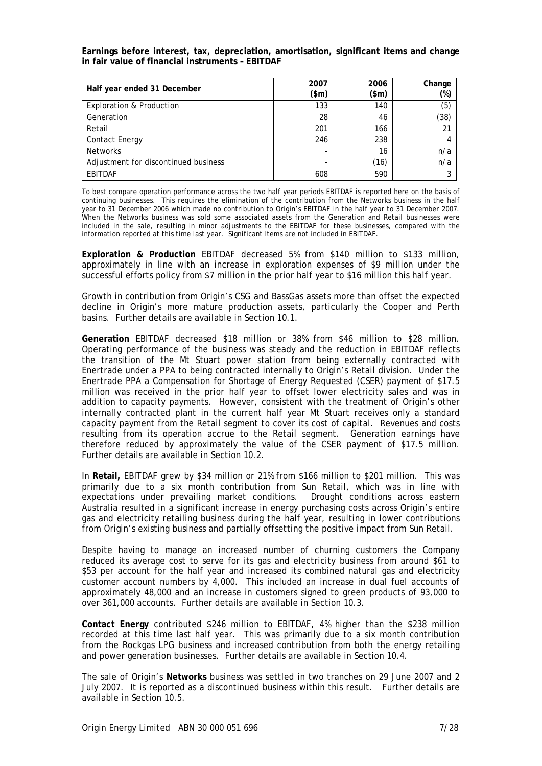**Earnings before interest, tax, depreciation, amortisation, significant items and change in fair value of financial instruments – EBITDAF** 

| Half year ended 31 December          | 2007<br>$(\$m)$ | 2006<br>(\$m) | Change<br>(%) |
|--------------------------------------|-----------------|---------------|---------------|
| <b>Exploration &amp; Production</b>  | 133             | 140           | (5)           |
| Generation                           | 28              | 46            | (38)          |
| Retail                               | 201             | 166           | 21            |
| <b>Contact Energy</b>                | 246             | 238           |               |
| <b>Networks</b>                      |                 | 16            | n/a           |
| Adjustment for discontinued business |                 | (16)          | n/a           |
| <b>EBITDAF</b>                       | 608             | 590           | 3             |

To best compare operation performance across the two half year periods EBITDAF is reported here on the basis of continuing businesses. This requires the elimination of the contribution from the Networks business in the half year to 31 December 2006 which made no contribution to Origin's EBITDAF in the half year to 31 December 2007. When the Networks business was sold some associated assets from the Generation and Retail businesses were included in the sale, resulting in minor adjustments to the EBITDAF for these businesses, compared with the information reported at this time last year. Significant Items are not included in EBITDAF.

**Exploration & Production** EBITDAF decreased 5% from \$140 million to \$133 million, approximately in line with an increase in exploration expenses of \$9 million under the successful efforts policy from \$7 million in the prior half year to \$16 million this half year.

Growth in contribution from Origin's CSG and BassGas assets more than offset the expected decline in Origin's more mature production assets, particularly the Cooper and Perth basins. Further details are available in Section 10.1.

**Generation** EBITDAF decreased \$18 million or 38% from \$46 million to \$28 million. Operating performance of the business was steady and the reduction in EBITDAF reflects the transition of the Mt Stuart power station from being externally contracted with Enertrade under a PPA to being contracted internally to Origin's Retail division. Under the Enertrade PPA a Compensation for Shortage of Energy Requested (CSER) payment of \$17.5 million was received in the prior half year to offset lower electricity sales and was in addition to capacity payments. However, consistent with the treatment of Origin's other internally contracted plant in the current half year Mt Stuart receives only a standard capacity payment from the Retail segment to cover its cost of capital. Revenues and costs resulting from its operation accrue to the Retail segment. Generation earnings have therefore reduced by approximately the value of the CSER payment of \$17.5 million. Further details are available in Section 10.2.

In **Retail,** EBITDAF grew by \$34 million or 21% from \$166 million to \$201 million. This was primarily due to a six month contribution from Sun Retail, which was in line with expectations under prevailing market conditions. Drought conditions across eastern Australia resulted in a significant increase in energy purchasing costs across Origin's entire gas and electricity retailing business during the half year, resulting in lower contributions from Origin's existing business and partially offsetting the positive impact from Sun Retail.

Despite having to manage an increased number of churning customers the Company reduced its average cost to serve for its gas and electricity business from around \$61 to \$53 per account for the half year and increased its combined natural gas and electricity customer account numbers by 4,000. This included an increase in dual fuel accounts of approximately 48,000 and an increase in customers signed to green products of 93,000 to over 361,000 accounts. Further details are available in Section 10.3.

**Contact Energy** contributed \$246 million to EBITDAF, 4% higher than the \$238 million recorded at this time last half year. This was primarily due to a six month contribution from the Rockgas LPG business and increased contribution from both the energy retailing and power generation businesses. Further details are available in Section 10.4.

The sale of Origin's **Networks** business was settled in two tranches on 29 June 2007 and 2 July 2007. It is reported as a discontinued business within this result. Further details are available in Section 10.5.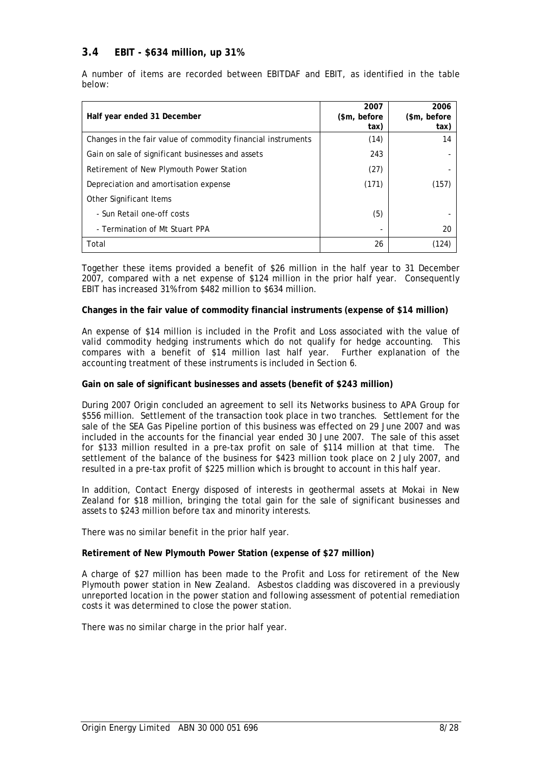## **3.4 EBIT - \$634 million, up 31%**

A number of items are recorded between EBITDAF and EBIT, as identified in the table below:

| Half year ended 31 December                                  | 2007<br>(\$m, before)<br>tax) | 2006<br>(\$m, before)<br>tax) |
|--------------------------------------------------------------|-------------------------------|-------------------------------|
| Changes in the fair value of commodity financial instruments | (14)                          | 14                            |
| Gain on sale of significant businesses and assets            | 243                           |                               |
| Retirement of New Plymouth Power Station                     | (27)                          |                               |
| Depreciation and amortisation expense                        | (171)                         | (157)                         |
| Other Significant Items                                      |                               |                               |
| - Sun Retail one-off costs                                   | (5)                           |                               |
| - Termination of Mt Stuart PPA                               |                               | 20                            |
| Total                                                        | 26                            | (124)                         |

Together these items provided a benefit of \$26 million in the half year to 31 December 2007, compared with a net expense of \$124 million in the prior half year. Consequently EBIT has increased 31% from \$482 million to \$634 million.

#### **Changes in the fair value of commodity financial instruments (expense of \$14 million)**

An expense of \$14 million is included in the Profit and Loss associated with the value of valid commodity hedging instruments which do not qualify for hedge accounting. This compares with a benefit of \$14 million last half year. Further explanation of the accounting treatment of these instruments is included in Section 6.

#### **Gain on sale of significant businesses and assets (benefit of \$243 million)**

During 2007 Origin concluded an agreement to sell its Networks business to APA Group for \$556 million. Settlement of the transaction took place in two tranches. Settlement for the sale of the SEA Gas Pipeline portion of this business was effected on 29 June 2007 and was included in the accounts for the financial year ended 30 June 2007. The sale of this asset for \$133 million resulted in a pre-tax profit on sale of \$114 million at that time. The settlement of the balance of the business for \$423 million took place on 2 July 2007, and resulted in a pre-tax profit of \$225 million which is brought to account in this half year.

In addition, Contact Energy disposed of interests in geothermal assets at Mokai in New Zealand for \$18 million, bringing the total gain for the sale of significant businesses and assets to \$243 million before tax and minority interests.

There was no similar benefit in the prior half year.

#### **Retirement of New Plymouth Power Station (expense of \$27 million)**

A charge of \$27 million has been made to the Profit and Loss for retirement of the New Plymouth power station in New Zealand. Asbestos cladding was discovered in a previously unreported location in the power station and following assessment of potential remediation costs it was determined to close the power station.

There was no similar charge in the prior half year.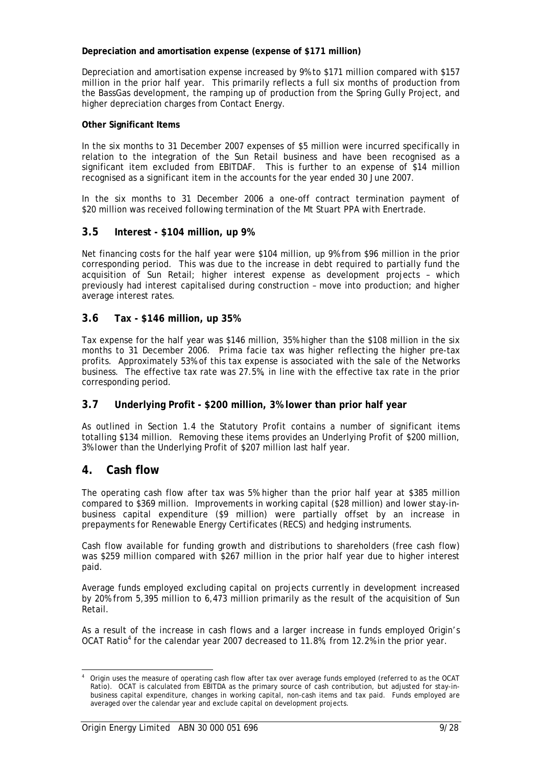### **Depreciation and amortisation expense (expense of \$171 million)**

Depreciation and amortisation expense increased by 9% to \$171 million compared with \$157 million in the prior half year. This primarily reflects a full six months of production from the BassGas development, the ramping up of production from the Spring Gully Project, and higher depreciation charges from Contact Energy.

### **Other Significant Items**

In the six months to 31 December 2007 expenses of \$5 million were incurred specifically in relation to the integration of the Sun Retail business and have been recognised as a significant item excluded from EBITDAF. This is further to an expense of \$14 million recognised as a significant item in the accounts for the year ended 30 June 2007.

In the six months to 31 December 2006 a one-off contract termination payment of \$20 million was received following termination of the Mt Stuart PPA with Enertrade.

## **3.5 Interest - \$104 million, up 9%**

Net financing costs for the half year were \$104 million, up 9% from \$96 million in the prior corresponding period. This was due to the increase in debt required to partially fund the acquisition of Sun Retail; higher interest expense as development projects – which previously had interest capitalised during construction – move into production; and higher average interest rates.

## **3.6 Tax - \$146 million, up 35%**

Tax expense for the half year was \$146 million, 35% higher than the \$108 million in the six months to 31 December 2006. Prima facie tax was higher reflecting the higher pre-tax profits. Approximately 53% of this tax expense is associated with the sale of the Networks business. The effective tax rate was 27.5%, in line with the effective tax rate in the prior corresponding period.

## **3.7 Underlying Profit - \$200 million, 3% lower than prior half year**

As outlined in Section 1.4 the Statutory Profit contains a number of significant items totalling \$134 million. Removing these items provides an Underlying Profit of \$200 million, 3% lower than the Underlying Profit of \$207 million last half year.

## **4. Cash flow**

The operating cash flow after tax was 5% higher than the prior half year at \$385 million compared to \$369 million. Improvements in working capital (\$28 million) and lower stay-inbusiness capital expenditure (\$9 million) were partially offset by an increase in prepayments for Renewable Energy Certificates (RECS) and hedging instruments.

Cash flow available for funding growth and distributions to shareholders (free cash flow) was \$259 million compared with \$267 million in the prior half year due to higher interest paid.

Average funds employed excluding capital on projects currently in development increased by 20% from 5,395 million to 6,473 million primarily as the result of the acquisition of Sun Retail.

As a result of the increase in cash flows and a larger increase in funds employed Origin's OCAT Ratio<sup>4</sup> for the calendar year 2007 decreased to 11.8%, from 12.2% in the prior year.

<sup>1</sup> 4 Origin uses the measure of operating cash flow after tax over average funds employed (referred to as the OCAT Ratio). OCAT is calculated from EBITDA as the primary source of cash contribution, but adjusted for stay-inbusiness capital expenditure, changes in working capital, non-cash items and tax paid. Funds employed are averaged over the calendar year and exclude capital on development projects.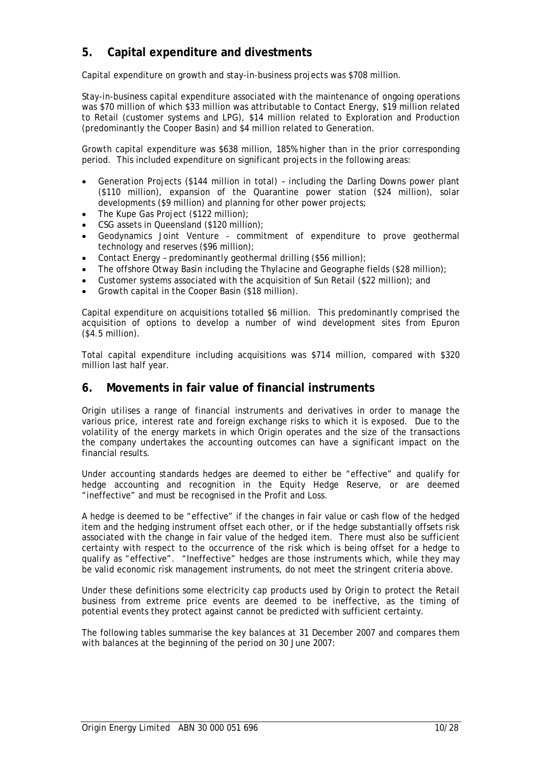## **5. Capital expenditure and divestments**

Capital expenditure on growth and stay-in-business projects was \$708 million.

Stay-in-business capital expenditure associated with the maintenance of ongoing operations was \$70 million of which \$33 million was attributable to Contact Energy, \$19 million related to Retail (customer systems and LPG), \$14 million related to Exploration and Production (predominantly the Cooper Basin) and \$4 million related to Generation.

Growth capital expenditure was \$638 million, 185% higher than in the prior corresponding period. This included expenditure on significant projects in the following areas:

- Generation Projects (\$144 million in total) including the Darling Downs power plant (\$110 million), expansion of the Quarantine power station (\$24 million), solar developments (\$9 million) and planning for other power projects;
- The Kupe Gas Project (\$122 million);
- CSG assets in Queensland (\$120 million);
- Geodynamics Joint Venture commitment of expenditure to prove geothermal technology and reserves (\$96 million);
- Contact Energy predominantly geothermal drilling (\$56 million);
- The offshore Otway Basin including the Thylacine and Geographe fields (\$28 million);
- Customer systems associated with the acquisition of Sun Retail (\$22 million); and
- Growth capital in the Cooper Basin (\$18 million).

Capital expenditure on acquisitions totalled \$6 million. This predominantly comprised the acquisition of options to develop a number of wind development sites from Epuron (\$4.5 million).

Total capital expenditure including acquisitions was \$714 million, compared with \$320 million last half year.

## **6. Movements in fair value of financial instruments**

Origin utilises a range of financial instruments and derivatives in order to manage the various price, interest rate and foreign exchange risks to which it is exposed. Due to the volatility of the energy markets in which Origin operates and the size of the transactions the company undertakes the accounting outcomes can have a significant impact on the financial results.

Under accounting standards hedges are deemed to either be "effective" and qualify for hedge accounting and recognition in the Equity Hedge Reserve, or are deemed "ineffective" and must be recognised in the Profit and Loss.

A hedge is deemed to be "effective" if the changes in fair value or cash flow of the hedged item and the hedging instrument offset each other, or if the hedge substantially offsets risk associated with the change in fair value of the hedged item. There must also be sufficient certainty with respect to the occurrence of the risk which is being offset for a hedge to qualify as "effective". "Ineffective" hedges are those instruments which, while they may be valid economic risk management instruments, do not meet the stringent criteria above.

Under these definitions some electricity cap products used by Origin to protect the Retail business from extreme price events are deemed to be ineffective, as the timing of potential events they protect against cannot be predicted with sufficient certainty.

The following tables summarise the key balances at 31 December 2007 and compares them with balances at the beginning of the period on 30 June 2007: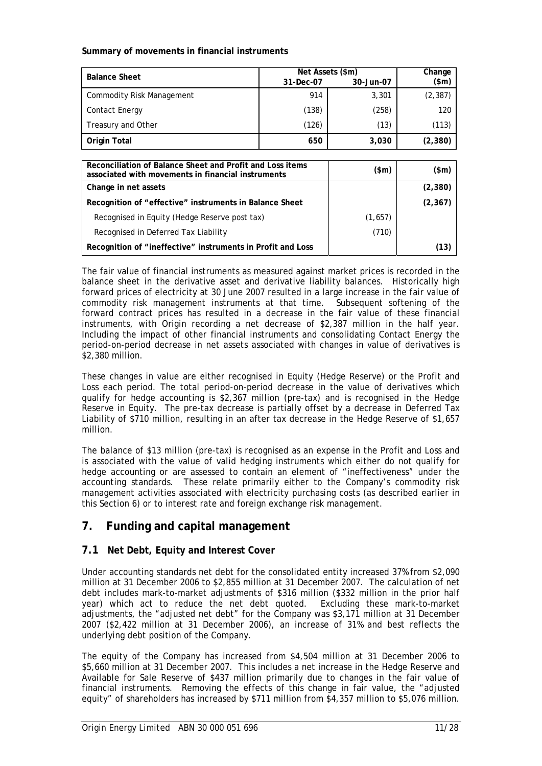### **Summary of movements in financial instruments**

| <b>Balance Sheet</b>      | Net Assets (\$m) | Change    |          |
|---------------------------|------------------|-----------|----------|
|                           | 31-Dec-07        | 30-Jun-07 | (\$m)    |
| Commodity Risk Management | 914              | 3,301     | (2, 387) |
| <b>Contact Energy</b>     | (138)            | (258)     | 120      |
| Treasury and Other        | (126)            | (13)      | (113)    |
| <b>Origin Total</b>       | 650              | 3,030     | (2, 380) |

| Reconciliation of Balance Sheet and Profit and Loss items<br>associated with movements in financial instruments | $(\text{5m})$ | (\$m)    |
|-----------------------------------------------------------------------------------------------------------------|---------------|----------|
| Change in net assets                                                                                            |               | (2,380)  |
| Recognition of "effective" instruments in Balance Sheet                                                         |               | (2, 367) |
| Recognised in Equity (Hedge Reserve post tax)                                                                   | (1,657)       |          |
| Recognised in Deferred Tax Liability                                                                            | (710)         |          |
| Recognition of "ineffective" instruments in Profit and Loss                                                     |               | (13)     |

The fair value of financial instruments as measured against market prices is recorded in the balance sheet in the derivative asset and derivative liability balances. Historically high forward prices of electricity at 30 June 2007 resulted in a large increase in the fair value of commodity risk management instruments at that time. Subsequent softening of the forward contract prices has resulted in a decrease in the fair value of these financial instruments, with Origin recording a net decrease of \$2,387 million in the half year. Including the impact of other financial instruments and consolidating Contact Energy the period-on-period decrease in net assets associated with changes in value of derivatives is \$2,380 million.

These changes in value are either recognised in Equity (Hedge Reserve) or the Profit and Loss each period. The total period-on-period decrease in the value of derivatives which qualify for hedge accounting is \$2,367 million (pre-tax) and is recognised in the Hedge Reserve in Equity. The pre-tax decrease is partially offset by a decrease in Deferred Tax Liability of \$710 million, resulting in an after tax decrease in the Hedge Reserve of \$1,657 million.

The balance of \$13 million (pre-tax) is recognised as an expense in the Profit and Loss and is associated with the value of valid hedging instruments which either do not qualify for hedge accounting or are assessed to contain an element of "ineffectiveness" under the accounting standards. These relate primarily either to the Company's commodity risk management activities associated with electricity purchasing costs (as described earlier in this Section 6) or to interest rate and foreign exchange risk management.

## **7. Funding and capital management**

## **7.1 Net Debt, Equity and Interest Cover**

Under accounting standards net debt for the consolidated entity increased 37% from \$2,090 million at 31 December 2006 to \$2,855 million at 31 December 2007. The calculation of net debt includes mark-to-market adjustments of \$316 million (\$332 million in the prior half year) which act to reduce the net debt quoted. Excluding these mark-to-market adjustments, the "adjusted net debt" for the Company was \$3,171 million at 31 December 2007 (\$2,422 million at 31 December 2006), an increase of 31% and best reflects the underlying debt position of the Company.

The equity of the Company has increased from \$4,504 million at 31 December 2006 to \$5,660 million at 31 December 2007. This includes a net increase in the Hedge Reserve and Available for Sale Reserve of \$437 million primarily due to changes in the fair value of financial instruments. Removing the effects of this change in fair value, the "adjusted equity" of shareholders has increased by \$711 million from \$4,357 million to \$5,076 million.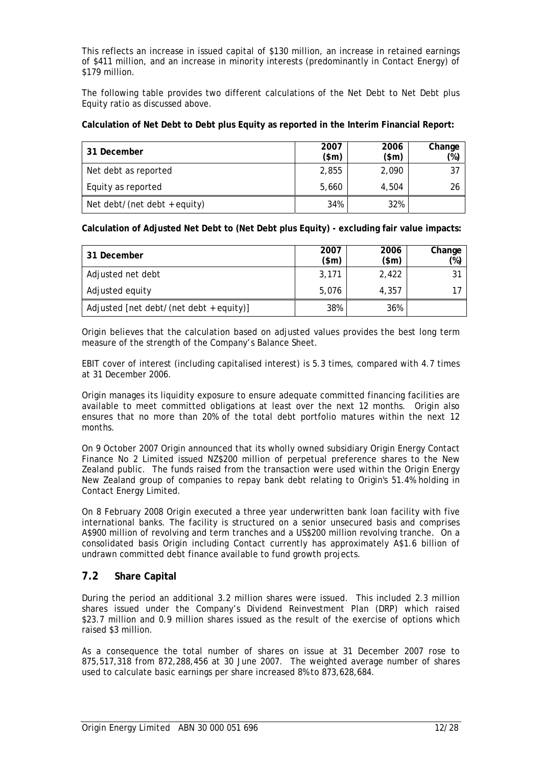This reflects an increase in issued capital of \$130 million, an increase in retained earnings of \$411 million, and an increase in minority interests (predominantly in Contact Energy) of \$179 million.

The following table provides two different calculations of the Net Debt to Net Debt plus Equity ratio as discussed above.

### **Calculation of Net Debt to Debt plus Equity as reported in the Interim Financial Report:**

| 31 December                  | 2007<br>\$m\$ | 2006<br>$(\$m)$ | Change<br>$(\%)$ |
|------------------------------|---------------|-----------------|------------------|
| Net debt as reported         | 2,855         | 2,090           | 37               |
| Equity as reported           | 5,660         | 4.504           | 26               |
| Net debt/(net debt + equity) | 34%           | 32%             |                  |

**Calculation of Adjusted Net Debt to (Net Debt plus Equity) - excluding fair value impacts:** 

| 31 December                             | 2007<br>$(\$m)$ | 2006<br>$(\$m)$ | Change<br>$(\%)$ |
|-----------------------------------------|-----------------|-----------------|------------------|
| Adjusted net debt                       | 3,171           | 2,422           | 31               |
| Adjusted equity                         | 5.076           | 4.357           |                  |
| Adjusted [net debt/(net debt + equity)] | 38%             | 36%             |                  |

Origin believes that the calculation based on adjusted values provides the best long term measure of the strength of the Company's Balance Sheet.

EBIT cover of interest (including capitalised interest) is 5.3 times, compared with 4.7 times at 31 December 2006.

Origin manages its liquidity exposure to ensure adequate committed financing facilities are available to meet committed obligations at least over the next 12 months. Origin also ensures that no more than 20% of the total debt portfolio matures within the next 12 months.

On 9 October 2007 Origin announced that its wholly owned subsidiary Origin Energy Contact Finance No 2 Limited issued NZ\$200 million of perpetual preference shares to the New Zealand public. The funds raised from the transaction were used within the Origin Energy New Zealand group of companies to repay bank debt relating to Origin's 51.4% holding in Contact Energy Limited.

On 8 February 2008 Origin executed a three year underwritten bank loan facility with five international banks. The facility is structured on a senior unsecured basis and comprises A\$900 million of revolving and term tranches and a US\$200 million revolving tranche*.* On a consolidated basis Origin including Contact currently has approximately A\$1.6 billion of undrawn committed debt finance available to fund growth projects.

### **7.2 Share Capital**

During the period an additional 3.2 million shares were issued. This included 2.3 million shares issued under the Company's Dividend Reinvestment Plan (DRP) which raised \$23.7 million and 0.9 million shares issued as the result of the exercise of options which raised \$3 million.

As a consequence the total number of shares on issue at 31 December 2007 rose to 875,517,318 from 872,288,456 at 30 June 2007. The weighted average number of shares used to calculate basic earnings per share increased 8% to 873,628,684.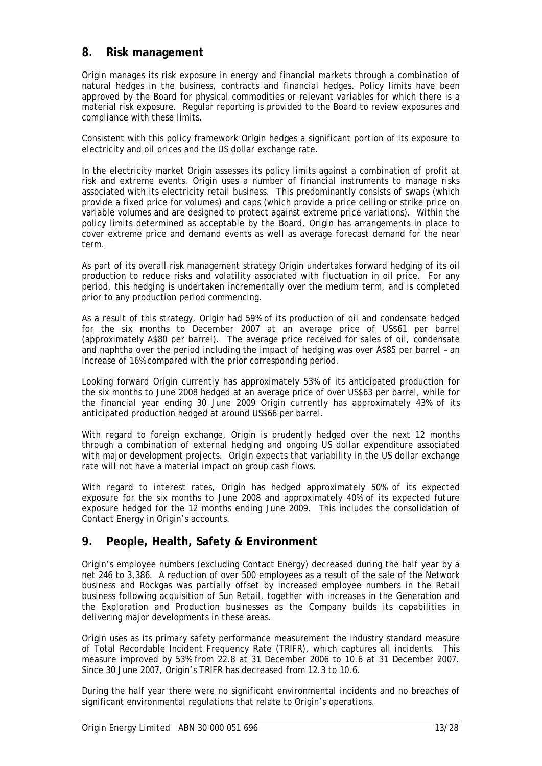## **8. Risk management**

Origin manages its risk exposure in energy and financial markets through a combination of natural hedges in the business, contracts and financial hedges. Policy limits have been approved by the Board for physical commodities or relevant variables for which there is a material risk exposure. Regular reporting is provided to the Board to review exposures and compliance with these limits.

Consistent with this policy framework Origin hedges a significant portion of its exposure to electricity and oil prices and the US dollar exchange rate.

In the electricity market Origin assesses its policy limits against a combination of profit at risk and extreme events. Origin uses a number of financial instruments to manage risks associated with its electricity retail business. This predominantly consists of swaps (which provide a fixed price for volumes) and caps (which provide a price ceiling or strike price on variable volumes and are designed to protect against extreme price variations). Within the policy limits determined as acceptable by the Board, Origin has arrangements in place to cover extreme price and demand events as well as average forecast demand for the near term.

As part of its overall risk management strategy Origin undertakes forward hedging of its oil production to reduce risks and volatility associated with fluctuation in oil price. For any period, this hedging is undertaken incrementally over the medium term, and is completed prior to any production period commencing.

As a result of this strategy, Origin had 59% of its production of oil and condensate hedged for the six months to December 2007 at an average price of US\$61 per barrel (approximately A\$80 per barrel). The average price received for sales of oil, condensate and naphtha over the period including the impact of hedging was over A\$85 per barrel – an increase of 16% compared with the prior corresponding period.

Looking forward Origin currently has approximately 53% of its anticipated production for the six months to June 2008 hedged at an average price of over US\$63 per barrel, while for the financial year ending 30 June 2009 Origin currently has approximately 43% of its anticipated production hedged at around US\$66 per barrel.

With regard to foreign exchange, Origin is prudently hedged over the next 12 months through a combination of external hedging and ongoing US dollar expenditure associated with major development projects. Origin expects that variability in the US dollar exchange rate will not have a material impact on group cash flows.

With regard to interest rates, Origin has hedged approximately 50% of its expected exposure for the six months to June 2008 and approximately 40% of its expected future exposure hedged for the 12 months ending June 2009. This includes the consolidation of Contact Energy in Origin's accounts.

## **9. People, Health, Safety & Environment**

Origin's employee numbers (excluding Contact Energy) decreased during the half year by a net 246 to 3,386. A reduction of over 500 employees as a result of the sale of the Network business and Rockgas was partially offset by increased employee numbers in the Retail business following acquisition of Sun Retail, together with increases in the Generation and the Exploration and Production businesses as the Company builds its capabilities in delivering major developments in these areas.

Origin uses as its primary safety performance measurement the industry standard measure of Total Recordable Incident Frequency Rate (TRIFR), which captures all incidents. This measure improved by 53% from 22.8 at 31 December 2006 to 10.6 at 31 December 2007. Since 30 June 2007, Origin's TRIFR has decreased from 12.3 to 10.6.

During the half year there were no significant environmental incidents and no breaches of significant environmental regulations that relate to Origin's operations.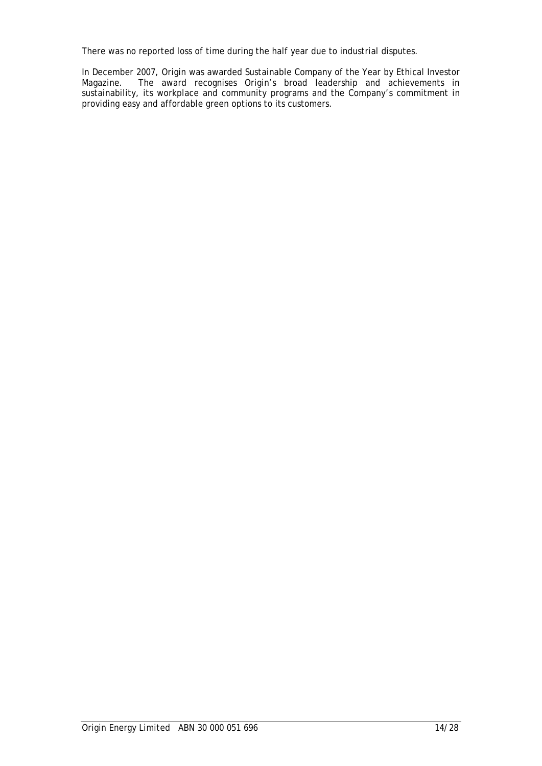There was no reported loss of time during the half year due to industrial disputes.

In December 2007, Origin was awarded Sustainable Company of the Year by Ethical Investor Magazine. The award recognises Origin's broad leadership and achievements in The award recognises Origin's broad leadership and achievements in sustainability, its workplace and community programs and the Company's commitment in providing easy and affordable green options to its customers.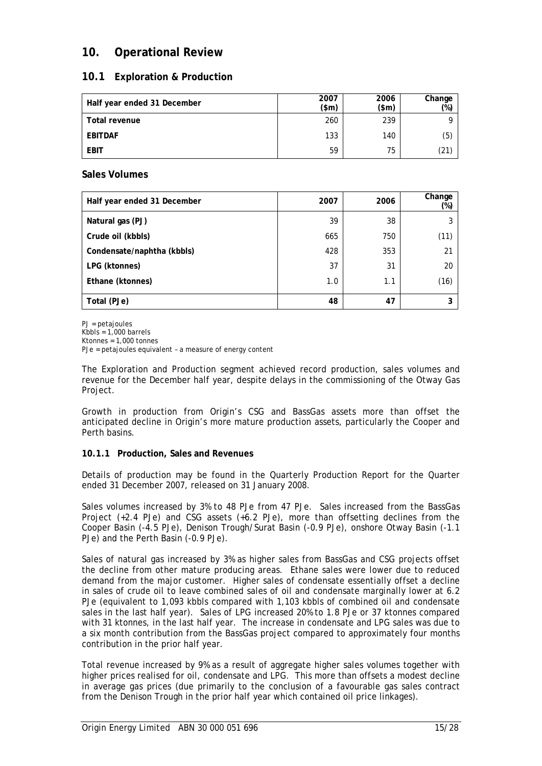## **10. Operational Review**

## **10.1 Exploration & Production**

| Half year ended 31 December | 2007<br>$(\text{5m})$ | 2006<br>\$m\$ | Change<br>$(\%)$ |
|-----------------------------|-----------------------|---------------|------------------|
| Total revenue               | 260                   | 239           | a                |
| EBITDAF                     | 133                   | 140           | (5)              |
| <b>EBIT</b>                 | 59                    | 75            | (21)             |

## **Sales Volumes**

| Half year ended 31 December | 2007 | 2006 | Change<br>(%) |
|-----------------------------|------|------|---------------|
| Natural gas (PJ)            | 39   | 38   | 3             |
| Crude oil (kbbls)           | 665  | 750  | (11)          |
| Condensate/naphtha (kbbls)  | 428  | 353  | 21            |
| LPG (ktonnes)               | 37   | 31   | 20            |
| Ethane (ktonnes)            | 1.0  | 1.1  | (16)          |
| Total (PJe)                 | 48   | 47   | 3             |

PJ = petajoules Kbbls =  $1,000$  barrels Ktonnes = 1,000 tonnes PJe = petajoules equivalent – a measure of energy content

The Exploration and Production segment achieved record production, sales volumes and revenue for the December half year, despite delays in the commissioning of the Otway Gas Project.

Growth in production from Origin's CSG and BassGas assets more than offset the anticipated decline in Origin's more mature production assets, particularly the Cooper and Perth basins.

## **10.1.1 Production, Sales and Revenues**

Details of production may be found in the Quarterly Production Report for the Quarter ended 31 December 2007, released on 31 January 2008.

Sales volumes increased by 3% to 48 PJe from 47 PJe. Sales increased from the BassGas Project (+2.4 PJe) and CSG assets (+6.2 PJe), more than offsetting declines from the Cooper Basin (-4.5 PJe), Denison Trough/Surat Basin (-0.9 PJe), onshore Otway Basin (-1.1 PJe) and the Perth Basin (-0.9 PJe).

Sales of natural gas increased by 3% as higher sales from BassGas and CSG projects offset the decline from other mature producing areas. Ethane sales were lower due to reduced demand from the major customer. Higher sales of condensate essentially offset a decline in sales of crude oil to leave combined sales of oil and condensate marginally lower at 6.2 PJe (equivalent to 1,093 kbbls compared with 1,103 kbbls of combined oil and condensate sales in the last half year). Sales of LPG increased 20% to 1.8 PJe or 37 ktonnes compared with 31 ktonnes, in the last half year. The increase in condensate and LPG sales was due to a six month contribution from the BassGas project compared to approximately four months contribution in the prior half year.

Total revenue increased by 9% as a result of aggregate higher sales volumes together with higher prices realised for oil, condensate and LPG. This more than offsets a modest decline in average gas prices (due primarily to the conclusion of a favourable gas sales contract from the Denison Trough in the prior half year which contained oil price linkages).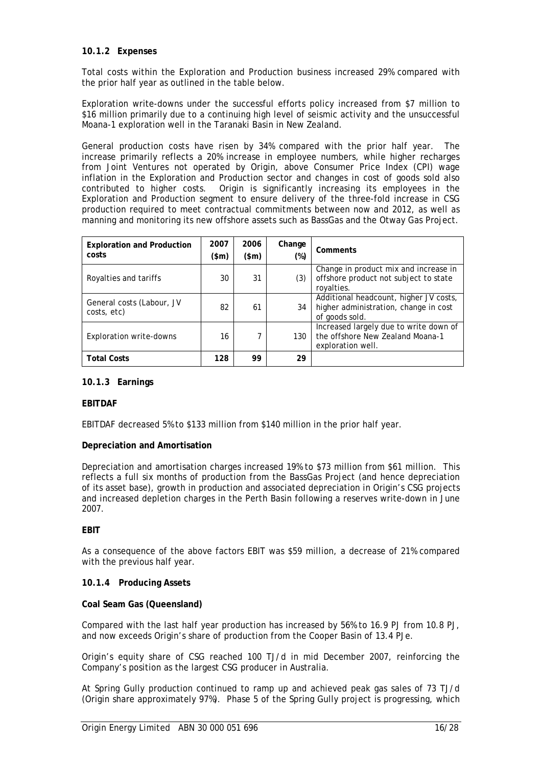### **10.1.2 Expenses**

Total costs within the Exploration and Production business increased 29% compared with the prior half year as outlined in the table below.

Exploration write-downs under the successful efforts policy increased from \$7 million to \$16 million primarily due to a continuing high level of seismic activity and the unsuccessful Moana-1 exploration well in the Taranaki Basin in New Zealand.

General production costs have risen by 34% compared with the prior half year. The increase primarily reflects a 20% increase in employee numbers, while higher recharges from Joint Ventures not operated by Origin, above Consumer Price Index (CPI) wage inflation in the Exploration and Production sector and changes in cost of goods sold also contributed to higher costs. Origin is significantly increasing its employees in the Exploration and Production segment to ensure delivery of the three-fold increase in CSG production required to meet contractual commitments between now and 2012, as well as manning and monitoring its new offshore assets such as BassGas and the Otway Gas Project.

| <b>Exploration and Production</b><br>costs | 2007<br>(\$m) | 2006<br>(\$m) | Change<br>$(\%)$ | Comments                                                                                          |
|--------------------------------------------|---------------|---------------|------------------|---------------------------------------------------------------------------------------------------|
| Royalties and tariffs                      | 30            | 31            | (3)              | Change in product mix and increase in<br>offshore product not subject to state<br>royalties.      |
| General costs (Labour, JV<br>costs, etc)   | 82            | 61            | 34               | Additional headcount, higher JV costs,<br>higher administration, change in cost<br>of goods sold. |
| Exploration write-downs                    | 16            |               | 130              | Increased largely due to write down of<br>the offshore New Zealand Moana-1<br>exploration well.   |
| <b>Total Costs</b>                         | 128           | 99            | 29               |                                                                                                   |

#### **10.1.3 Earnings**

#### **EBITDAF**

EBITDAF decreased 5% to \$133 million from \$140 million in the prior half year.

#### **Depreciation and Amortisation**

Depreciation and amortisation charges increased 19% to \$73 million from \$61 million. This reflects a full six months of production from the BassGas Project (and hence depreciation of its asset base), growth in production and associated depreciation in Origin's CSG projects and increased depletion charges in the Perth Basin following a reserves write-down in June 2007.

#### **EBIT**

As a consequence of the above factors EBIT was \$59 million, a decrease of 21% compared with the previous half year.

#### **10.1.4 Producing Assets**

#### **Coal Seam Gas (Queensland)**

Compared with the last half year production has increased by 56% to 16.9 PJ from 10.8 PJ, and now exceeds Origin's share of production from the Cooper Basin of 13.4 PJe.

Origin's equity share of CSG reached 100 TJ/d in mid December 2007, reinforcing the Company's position as the largest CSG producer in Australia.

At Spring Gully production continued to ramp up and achieved peak gas sales of 73 TJ/d (Origin share approximately 97%). Phase 5 of the Spring Gully project is progressing, which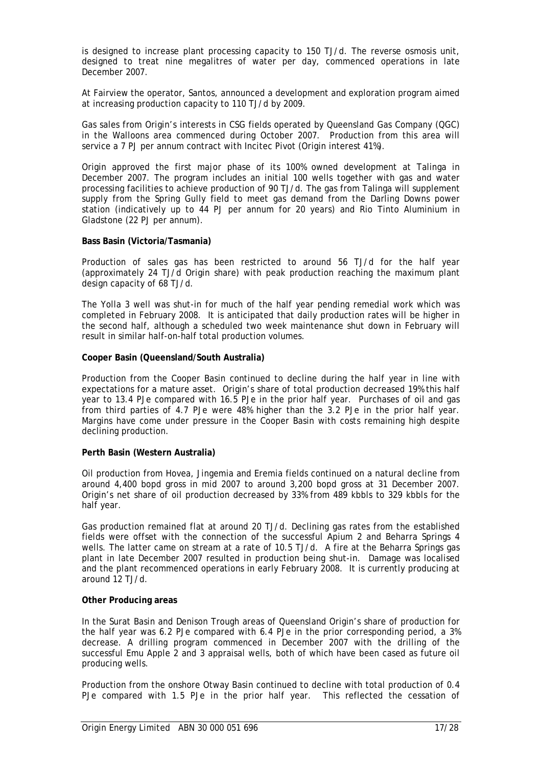is designed to increase plant processing capacity to 150 TJ/d. The reverse osmosis unit, designed to treat nine megalitres of water per day, commenced operations in late December 2007.

At Fairview the operator, Santos, announced a development and exploration program aimed at increasing production capacity to 110 TJ/d by 2009.

Gas sales from Origin's interests in CSG fields operated by Queensland Gas Company (QGC) in the Walloons area commenced during October 2007. Production from this area will service a 7 PJ per annum contract with Incitec Pivot (Origin interest 41%).

Origin approved the first major phase of its 100% owned development at Talinga in December 2007. The program includes an initial 100 wells together with gas and water processing facilities to achieve production of 90 TJ/d. The gas from Talinga will supplement supply from the Spring Gully field to meet gas demand from the Darling Downs power station (indicatively up to 44 PJ per annum for 20 years) and Rio Tinto Aluminium in Gladstone (22 PJ per annum).

#### **Bass Basin (Victoria/Tasmania)**

Production of sales gas has been restricted to around 56 TJ/d for the half year (approximately 24 TJ/d Origin share) with peak production reaching the maximum plant design capacity of 68 TJ/d.

The Yolla 3 well was shut-in for much of the half year pending remedial work which was completed in February 2008. It is anticipated that daily production rates will be higher in the second half, although a scheduled two week maintenance shut down in February will result in similar half-on-half total production volumes.

#### **Cooper Basin (Queensland/South Australia)**

Production from the Cooper Basin continued to decline during the half year in line with expectations for a mature asset. Origin's share of total production decreased 19% this half year to 13.4 PJe compared with 16.5 PJe in the prior half year. Purchases of oil and gas from third parties of 4.7 PJe were 48% higher than the 3.2 PJe in the prior half year. Margins have come under pressure in the Cooper Basin with costs remaining high despite declining production.

#### **Perth Basin (Western Australia)**

Oil production from Hovea, Jingemia and Eremia fields continued on a natural decline from around 4,400 bopd gross in mid 2007 to around 3,200 bopd gross at 31 December 2007. Origin's net share of oil production decreased by 33% from 489 kbbls to 329 kbbls for the half year.

Gas production remained flat at around 20 TJ/d. Declining gas rates from the established fields were offset with the connection of the successful Apium 2 and Beharra Springs 4 wells. The latter came on stream at a rate of 10.5 TJ/d. A fire at the Beharra Springs gas plant in late December 2007 resulted in production being shut-in. Damage was localised and the plant recommenced operations in early February 2008. It is currently producing at around 12 TJ/d.

#### **Other Producing areas**

In the Surat Basin and Denison Trough areas of Queensland Origin's share of production for the half year was 6.2 PJe compared with 6.4 PJe in the prior corresponding period, a 3% decrease. A drilling program commenced in December 2007 with the drilling of the successful Emu Apple 2 and 3 appraisal wells, both of which have been cased as future oil producing wells.

Production from the onshore Otway Basin continued to decline with total production of 0.4 PJe compared with 1.5 PJe in the prior half year. This reflected the cessation of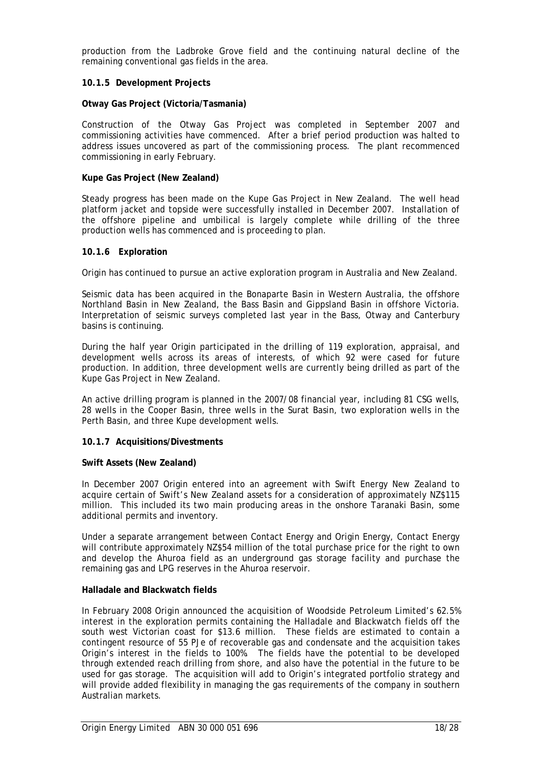production from the Ladbroke Grove field and the continuing natural decline of the remaining conventional gas fields in the area.

#### **10.1.5 Development Projects**

#### **Otway Gas Project (Victoria/Tasmania)**

Construction of the Otway Gas Project was completed in September 2007 and commissioning activities have commenced. After a brief period production was halted to address issues uncovered as part of the commissioning process. The plant recommenced commissioning in early February.

#### **Kupe Gas Project (New Zealand)**

Steady progress has been made on the Kupe Gas Project in New Zealand. The well head platform jacket and topside were successfully installed in December 2007. Installation of the offshore pipeline and umbilical is largely complete while drilling of the three production wells has commenced and is proceeding to plan.

#### **10.1.6 Exploration**

Origin has continued to pursue an active exploration program in Australia and New Zealand.

Seismic data has been acquired in the Bonaparte Basin in Western Australia, the offshore Northland Basin in New Zealand, the Bass Basin and Gippsland Basin in offshore Victoria. Interpretation of seismic surveys completed last year in the Bass, Otway and Canterbury basins is continuing.

During the half year Origin participated in the drilling of 119 exploration, appraisal, and development wells across its areas of interests, of which 92 were cased for future production. In addition, three development wells are currently being drilled as part of the Kupe Gas Project in New Zealand.

An active drilling program is planned in the 2007/08 financial year, including 81 CSG wells, 28 wells in the Cooper Basin, three wells in the Surat Basin, two exploration wells in the Perth Basin, and three Kupe development wells.

#### **10.1.7 Acquisitions/Divestments**

#### **Swift Assets (New Zealand)**

In December 2007 Origin entered into an agreement with Swift Energy New Zealand to acquire certain of Swift's New Zealand assets for a consideration of approximately NZ\$115 million. This included its two main producing areas in the onshore Taranaki Basin, some additional permits and inventory.

Under a separate arrangement between Contact Energy and Origin Energy, Contact Energy will contribute approximately NZ\$54 million of the total purchase price for the right to own and develop the Ahuroa field as an underground gas storage facility and purchase the remaining gas and LPG reserves in the Ahuroa reservoir.

#### **Halladale and Blackwatch fields**

In February 2008 Origin announced the acquisition of Woodside Petroleum Limited's 62.5% interest in the exploration permits containing the Halladale and Blackwatch fields off the south west Victorian coast for \$13.6 million. These fields are estimated to contain a contingent resource of 55 PJe of recoverable gas and condensate and the acquisition takes Origin's interest in the fields to 100%. The fields have the potential to be developed through extended reach drilling from shore, and also have the potential in the future to be used for gas storage. The acquisition will add to Origin's integrated portfolio strategy and will provide added flexibility in managing the gas requirements of the company in southern Australian markets.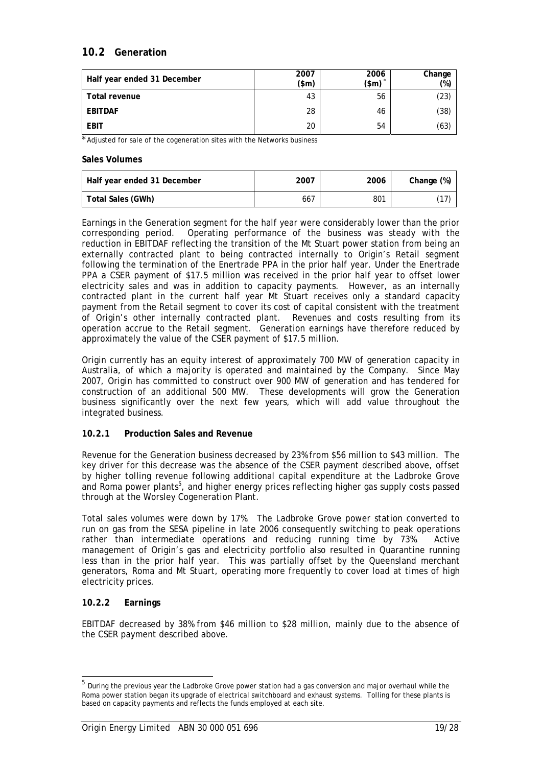## **10.2 Generation**

| Half year ended 31 December | 2007<br>(\$m) | 2006<br>$(\$m)$ | Change<br>(%) |
|-----------------------------|---------------|-----------------|---------------|
| <b>Total revenue</b>        | 43            | 56              | (23)          |
| <b>EBITDAF</b>              | 28            | 46              | (38)          |
| <b>EBIT</b>                 | 20            | 54              | (63)          |

\* Adjusted for sale of the cogeneration sites with the Networks business

#### **Sales Volumes**

| Half year ended 31 December | 2007 | 2006 | Change (%)   |
|-----------------------------|------|------|--------------|
| Total Sales (GWh)           | 667  | 801  | $\mathbf{L}$ |

Earnings in the Generation segment for the half year were considerably lower than the prior corresponding period. Operating performance of the business was steady with the reduction in EBITDAF reflecting the transition of the Mt Stuart power station from being an externally contracted plant to being contracted internally to Origin's Retail segment following the termination of the Enertrade PPA in the prior half year. Under the Enertrade PPA a CSER payment of \$17.5 million was received in the prior half year to offset lower electricity sales and was in addition to capacity payments. However, as an internally contracted plant in the current half year Mt Stuart receives only a standard capacity payment from the Retail segment to cover its cost of capital consistent with the treatment of Origin's other internally contracted plant. Revenues and costs resulting from its operation accrue to the Retail segment. Generation earnings have therefore reduced by approximately the value of the CSER payment of \$17.5 million.

Origin currently has an equity interest of approximately 700 MW of generation capacity in Australia, of which a majority is operated and maintained by the Company. Since May 2007, Origin has committed to construct over 900 MW of generation and has tendered for construction of an additional 500 MW. These developments will grow the Generation business significantly over the next few years, which will add value throughout the integrated business.

#### **10.2.1 Production Sales and Revenue**

Revenue for the Generation business decreased by 23% from \$56 million to \$43 million. The key driver for this decrease was the absence of the CSER payment described above, offset by higher tolling revenue following additional capital expenditure at the Ladbroke Grove and Roma power plants<sup>5</sup>, and higher energy prices reflecting higher gas supply costs passed through at the Worsley Cogeneration Plant.

Total sales volumes were down by 17%. The Ladbroke Grove power station converted to run on gas from the SESA pipeline in late 2006 consequently switching to peak operations rather than intermediate operations and reducing running time by 73%. Active management of Origin's gas and electricity portfolio also resulted in Quarantine running less than in the prior half year. This was partially offset by the Queensland merchant generators, Roma and Mt Stuart, operating more frequently to cover load at times of high electricity prices.

### **10.2.2 Earnings**

-

EBITDAF decreased by 38% from \$46 million to \$28 million, mainly due to the absence of the CSER payment described above.

<sup>&</sup>lt;sup>5</sup> During the previous year the Ladbroke Grove power station had a gas conversion and major overhaul while the Roma power station began its upgrade of electrical switchboard and exhaust systems. Tolling for these plants is based on capacity payments and reflects the funds employed at each site.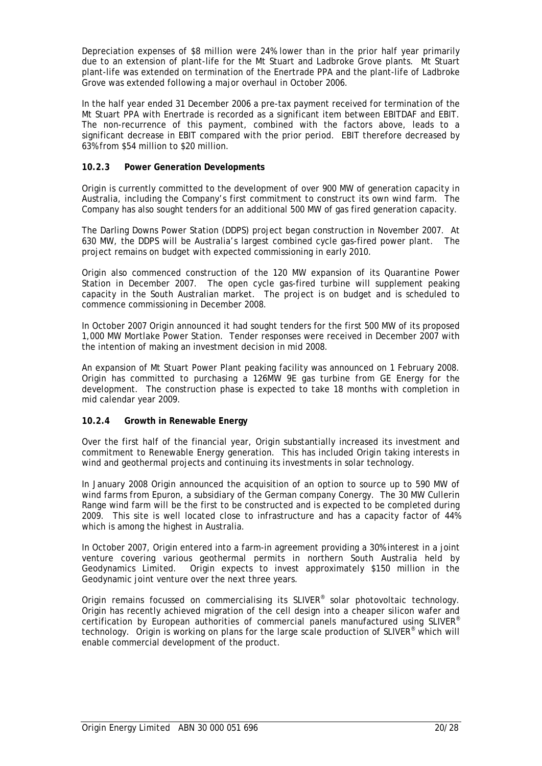Depreciation expenses of \$8 million were 24% lower than in the prior half year primarily due to an extension of plant-life for the Mt Stuart and Ladbroke Grove plants. Mt Stuart plant-life was extended on termination of the Enertrade PPA and the plant-life of Ladbroke Grove was extended following a major overhaul in October 2006.

In the half year ended 31 December 2006 a pre-tax payment received for termination of the Mt Stuart PPA with Enertrade is recorded as a significant item between EBITDAF and EBIT. The non-recurrence of this payment, combined with the factors above, leads to a significant decrease in EBIT compared with the prior period. EBIT therefore decreased by 63% from \$54 million to \$20 million.

### **10.2.3 Power Generation Developments**

Origin is currently committed to the development of over 900 MW of generation capacity in Australia, including the Company's first commitment to construct its own wind farm. The Company has also sought tenders for an additional 500 MW of gas fired generation capacity.

The Darling Downs Power Station (DDPS) project began construction in November 2007. At 630 MW, the DDPS will be Australia's largest combined cycle gas-fired power plant. The project remains on budget with expected commissioning in early 2010.

Origin also commenced construction of the 120 MW expansion of its Quarantine Power Station in December 2007. The open cycle gas-fired turbine will supplement peaking capacity in the South Australian market. The project is on budget and is scheduled to commence commissioning in December 2008.

In October 2007 Origin announced it had sought tenders for the first 500 MW of its proposed 1,000 MW Mortlake Power Station. Tender responses were received in December 2007 with the intention of making an investment decision in mid 2008.

An expansion of Mt Stuart Power Plant peaking facility was announced on 1 February 2008. Origin has committed to purchasing a 126MW 9E gas turbine from GE Energy for the development. The construction phase is expected to take 18 months with completion in mid calendar year 2009.

#### **10.2.4 Growth in Renewable Energy**

Over the first half of the financial year, Origin substantially increased its investment and commitment to Renewable Energy generation. This has included Origin taking interests in wind and geothermal projects and continuing its investments in solar technology.

In January 2008 Origin announced the acquisition of an option to source up to 590 MW of wind farms from Epuron, a subsidiary of the German company Conergy. The 30 MW Cullerin Range wind farm will be the first to be constructed and is expected to be completed during 2009. This site is well located close to infrastructure and has a capacity factor of 44% which is among the highest in Australia.

In October 2007, Origin entered into a farm-in agreement providing a 30% interest in a joint venture covering various geothermal permits in northern South Australia held by Geodynamics Limited. Origin expects to invest approximately \$150 million in the Geodynamic joint venture over the next three years.

Origin remains focussed on commercialising its SLIVER<sup>®</sup> solar photovoltaic technology. Origin has recently achieved migration of the cell design into a cheaper silicon wafer and certification by European authorities of commercial panels manufactured using SLIVER® technology. Origin is working on plans for the large scale production of SLIVER<sup>®</sup> which will enable commercial development of the product.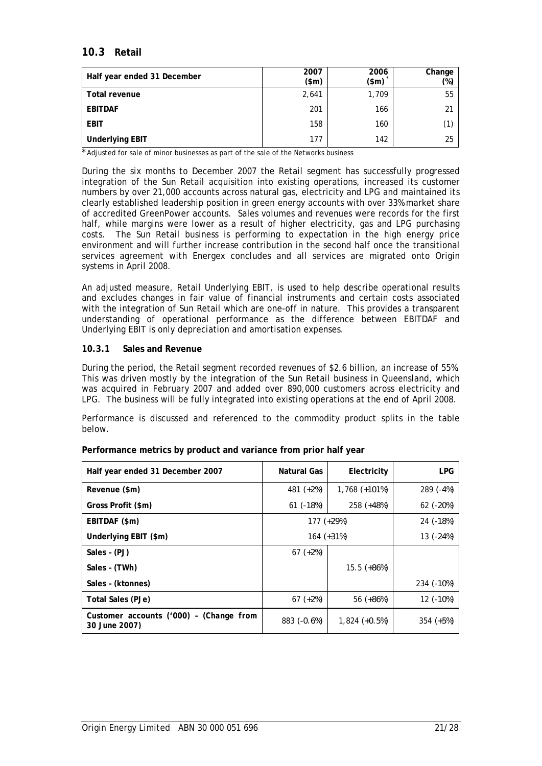## **10.3 Retail**

| Half year ended 31 December | 2007<br>\$m\$ | 2006<br>$(\$m)$ | Change<br>(%) |
|-----------------------------|---------------|-----------------|---------------|
| Total revenue               | 2,641         | 1,709           | 55            |
| <b>EBITDAF</b>              | 201           | 166             | 21            |
| <b>EBIT</b>                 | 158           | 160             | (1)           |
| <b>Underlying EBIT</b>      | 177           | 142             | 25            |

\* Adjusted for sale of minor businesses as part of the sale of the Networks business

During the six months to December 2007 the Retail segment has successfully progressed integration of the Sun Retail acquisition into existing operations, increased its customer numbers by over 21,000 accounts across natural gas, electricity and LPG and maintained its clearly established leadership position in green energy accounts with over 33% market share of accredited GreenPower accounts. Sales volumes and revenues were records for the first half, while margins were lower as a result of higher electricity, gas and LPG purchasing costs. The Sun Retail business is performing to expectation in the high energy price environment and will further increase contribution in the second half once the transitional services agreement with Energex concludes and all services are migrated onto Origin systems in April 2008.

An adjusted measure, Retail Underlying EBIT, is used to help describe operational results and excludes changes in fair value of financial instruments and certain costs associated with the integration of Sun Retail which are one-off in nature. This provides a transparent understanding of operational performance as the difference between EBITDAF and Underlying EBIT is only depreciation and amortisation expenses.

#### **10.3.1 Sales and Revenue**

During the period, the Retail segment recorded revenues of \$2.6 billion, an increase of 55%. This was driven mostly by the integration of the Sun Retail business in Queensland, which was acquired in February 2007 and added over 890,000 customers across electricity and LPG. The business will be fully integrated into existing operations at the end of April 2008.

Performance is discussed and referenced to the commodity product splits in the table below.

| Half year ended 31 December 2007                         | Natural Gas   | Electricity     | <b>LPG</b>  |
|----------------------------------------------------------|---------------|-----------------|-------------|
| Revenue (\$m)                                            | 481 $(+2%)$   | $1,768$ (+101%) | 289 (-4%)   |
| Gross Profit (\$m)                                       | $61$ (-18%)   | 258 (+48%)      | 62 (-20%)   |
| EBITDAF (\$m)                                            | 177 (+29%)    | 24 (-18%)       |             |
| Underlying EBIT (\$m)                                    | $164$ (+31%)  | 13 (-24%)       |             |
| Sales - (PJ)                                             | $67$ (+2%)    |                 |             |
| Sales - (TWh)                                            | $15.5$ (+86%) |                 |             |
| Sales - (ktonnes)                                        |               |                 | 234 (-10%)  |
| Total Sales (PJe)                                        | $67$ $(+2%)$  | 56 (+86%)       | 12 (-10%)   |
| Customer accounts ('000) - (Change from<br>30 June 2007) | 883 (-0.6%)   | $1,824$ (+0.5%) | $354 (+5%)$ |

**Performance metrics by product and variance from prior half year**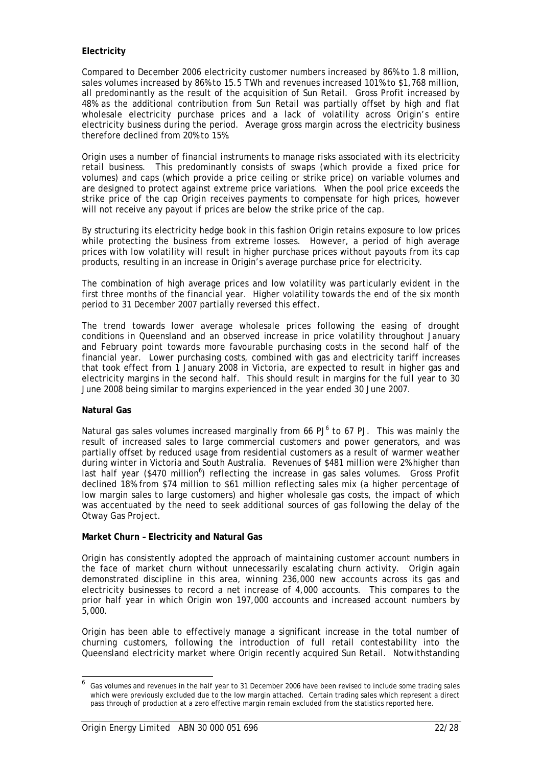### **Electricity**

Compared to December 2006 electricity customer numbers increased by 86% to 1.8 million, sales volumes increased by 86% to 15.5 TWh and revenues increased 101% to \$1,768 million, all predominantly as the result of the acquisition of Sun Retail. Gross Profit increased by 48% as the additional contribution from Sun Retail was partially offset by high and flat wholesale electricity purchase prices and a lack of volatility across Origin's entire electricity business during the period. Average gross margin across the electricity business therefore declined from 20% to 15%.

Origin uses a number of financial instruments to manage risks associated with its electricity retail business. This predominantly consists of swaps (which provide a fixed price for volumes) and caps (which provide a price ceiling or strike price) on variable volumes and are designed to protect against extreme price variations. When the pool price exceeds the strike price of the cap Origin receives payments to compensate for high prices, however will not receive any payout if prices are below the strike price of the cap.

By structuring its electricity hedge book in this fashion Origin retains exposure to low prices while protecting the business from extreme losses. However, a period of high average prices with low volatility will result in higher purchase prices without payouts from its cap products, resulting in an increase in Origin's average purchase price for electricity.

The combination of high average prices and low volatility was particularly evident in the first three months of the financial year. Higher volatility towards the end of the six month period to 31 December 2007 partially reversed this effect.

The trend towards lower average wholesale prices following the easing of drought conditions in Queensland and an observed increase in price volatility throughout January and February point towards more favourable purchasing costs in the second half of the financial year. Lower purchasing costs, combined with gas and electricity tariff increases that took effect from 1 January 2008 in Victoria, are expected to result in higher gas and electricity margins in the second half. This should result in margins for the full year to 30 June 2008 being similar to margins experienced in the year ended 30 June 2007.

#### **Natural Gas**

-

Natural gas sales volumes increased marginally from 66  $PJ^6$  to 67 PJ. This was mainly the result of increased sales to large commercial customers and power generators, and was partially offset by reduced usage from residential customers as a result of warmer weather during winter in Victoria and South Australia. Revenues of \$481 million were 2% higher than last half year (\$470 million<sup>6</sup>) reflecting the increase in gas sales volumes. Gross Profit declined 18% from \$74 million to \$61 million reflecting sales mix (a higher percentage of low margin sales to large customers) and higher wholesale gas costs, the impact of which was accentuated by the need to seek additional sources of gas following the delay of the Otway Gas Project.

#### **Market Churn – Electricity and Natural Gas**

Origin has consistently adopted the approach of maintaining customer account numbers in the face of market churn without unnecessarily escalating churn activity. Origin again demonstrated discipline in this area, winning 236,000 new accounts across its gas and electricity businesses to record a net increase of 4,000 accounts. This compares to the prior half year in which Origin won 197,000 accounts and increased account numbers by 5,000.

Origin has been able to effectively manage a significant increase in the total number of churning customers, following the introduction of full retail contestability into the Queensland electricity market where Origin recently acquired Sun Retail. Notwithstanding

<sup>6</sup> Gas volumes and revenues in the half year to 31 December 2006 have been revised to include some trading sales which were previously excluded due to the low margin attached. Certain trading sales which represent a direct pass through of production at a zero effective margin remain excluded from the statistics reported here.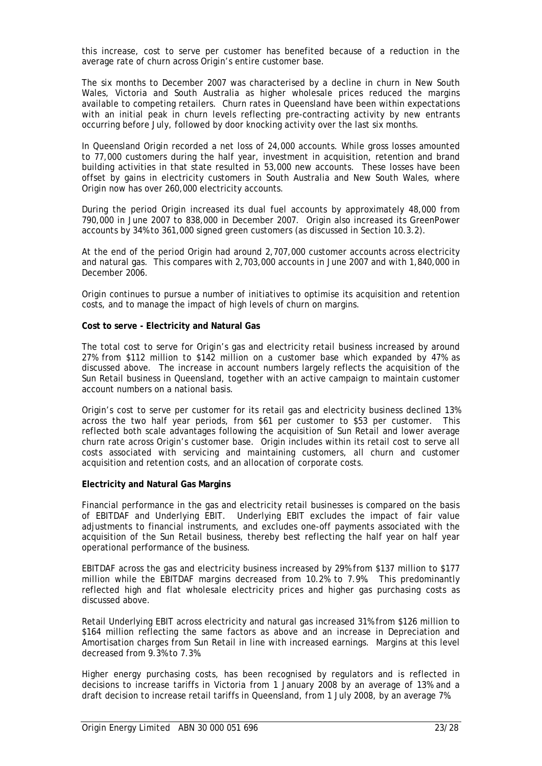this increase, cost to serve per customer has benefited because of a reduction in the average rate of churn across Origin's entire customer base.

The six months to December 2007 was characterised by a decline in churn in New South Wales, Victoria and South Australia as higher wholesale prices reduced the margins available to competing retailers. Churn rates in Queensland have been within expectations with an initial peak in churn levels reflecting pre-contracting activity by new entrants occurring before July, followed by door knocking activity over the last six months.

In Queensland Origin recorded a net loss of 24,000 accounts. While gross losses amounted to 77,000 customers during the half year, investment in acquisition, retention and brand building activities in that state resulted in 53,000 new accounts. These losses have been offset by gains in electricity customers in South Australia and New South Wales, where Origin now has over 260,000 electricity accounts.

During the period Origin increased its dual fuel accounts by approximately 48,000 from 790,000 in June 2007 to 838,000 in December 2007. Origin also increased its GreenPower accounts by 34% to 361,000 signed green customers (as discussed in Section 10.3.2).

At the end of the period Origin had around 2,707,000 customer accounts across electricity and natural gas. This compares with 2,703,000 accounts in June 2007 and with 1,840,000 in December 2006.

Origin continues to pursue a number of initiatives to optimise its acquisition and retention costs, and to manage the impact of high levels of churn on margins.

#### **Cost to serve - Electricity and Natural Gas**

The total cost to serve for Origin's gas and electricity retail business increased by around 27% from \$112 million to \$142 million on a customer base which expanded by 47% as discussed above. The increase in account numbers largely reflects the acquisition of the Sun Retail business in Queensland, together with an active campaign to maintain customer account numbers on a national basis.

Origin's cost to serve per customer for its retail gas and electricity business declined 13% across the two half year periods, from \$61 per customer to \$53 per customer. This reflected both scale advantages following the acquisition of Sun Retail and lower average churn rate across Origin's customer base. Origin includes within its retail cost to serve all costs associated with servicing and maintaining customers, all churn and customer acquisition and retention costs, and an allocation of corporate costs.

#### **Electricity and Natural Gas Margins**

Financial performance in the gas and electricity retail businesses is compared on the basis of EBITDAF and Underlying EBIT. Underlying EBIT excludes the impact of fair value adjustments to financial instruments, and excludes one-off payments associated with the acquisition of the Sun Retail business, thereby best reflecting the half year on half year operational performance of the business.

EBITDAF across the gas and electricity business increased by 29% from \$137 million to \$177 million while the EBITDAF margins decreased from 10.2% to 7.9%. This predominantly reflected high and flat wholesale electricity prices and higher gas purchasing costs as discussed above.

Retail Underlying EBIT across electricity and natural gas increased 31% from \$126 million to \$164 million reflecting the same factors as above and an increase in Depreciation and Amortisation charges from Sun Retail in line with increased earnings. Margins at this level decreased from 9.3% to 7.3%.

Higher energy purchasing costs, has been recognised by regulators and is reflected in decisions to increase tariffs in Victoria from 1 January 2008 by an average of 13% and a draft decision to increase retail tariffs in Queensland, from 1 July 2008, by an average 7%.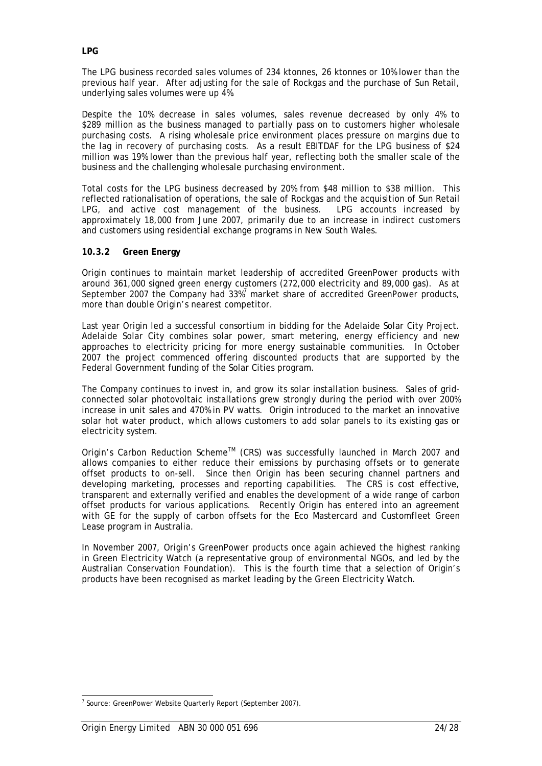The LPG business recorded sales volumes of 234 ktonnes, 26 ktonnes or 10% lower than the previous half year. After adjusting for the sale of Rockgas and the purchase of Sun Retail, underlying sales volumes were up 4%.

Despite the 10% decrease in sales volumes, sales revenue decreased by only 4% to \$289 million as the business managed to partially pass on to customers higher wholesale purchasing costs. A rising wholesale price environment places pressure on margins due to the lag in recovery of purchasing costs. As a result EBITDAF for the LPG business of \$24 million was 19% lower than the previous half year, reflecting both the smaller scale of the business and the challenging wholesale purchasing environment.

Total costs for the LPG business decreased by 20% from \$48 million to \$38 million. This reflected rationalisation of operations, the sale of Rockgas and the acquisition of Sun Retail LPG, and active cost management of the business. LPG accounts increased by approximately 18,000 from June 2007, primarily due to an increase in indirect customers and customers using residential exchange programs in New South Wales.

#### **10.3.2 Green Energy**

Origin continues to maintain market leadership of accredited GreenPower products with around 361,000 signed green energy customers (272,000 electricity and 89,000 gas). As at September 2007 the Company had 33%<sup>7</sup> market share of accredited GreenPower products, more than double Origin's nearest competitor.

Last year Origin led a successful consortium in bidding for the Adelaide Solar City Project. Adelaide Solar City combines solar power, smart metering, energy efficiency and new approaches to electricity pricing for more energy sustainable communities. In October 2007 the project commenced offering discounted products that are supported by the Federal Government funding of the Solar Cities program.

The Company continues to invest in, and grow its solar installation business. Sales of gridconnected solar photovoltaic installations grew strongly during the period with over 200% increase in unit sales and 470% in PV watts. Origin introduced to the market an innovative solar hot water product, which allows customers to add solar panels to its existing gas or electricity system.

Origin's Carbon Reduction Scheme<sup>™</sup> (CRS) was successfully launched in March 2007 and allows companies to either reduce their emissions by purchasing offsets or to generate offset products to on-sell. Since then Origin has been securing channel partners and developing marketing, processes and reporting capabilities. The CRS is cost effective, transparent and externally verified and enables the development of a wide range of carbon offset products for various applications. Recently Origin has entered into an agreement with GE for the supply of carbon offsets for the Eco Mastercard and Customfleet Green Lease program in Australia.

In November 2007, Origin's GreenPower products once again achieved the highest ranking in Green Electricity Watch (a representative group of environmental NGOs, and led by the Australian Conservation Foundation). This is the fourth time that a selection of Origin's products have been recognised as market leading by the Green Electricity Watch.

 7 Source: GreenPower Website Quarterly Report (September 2007).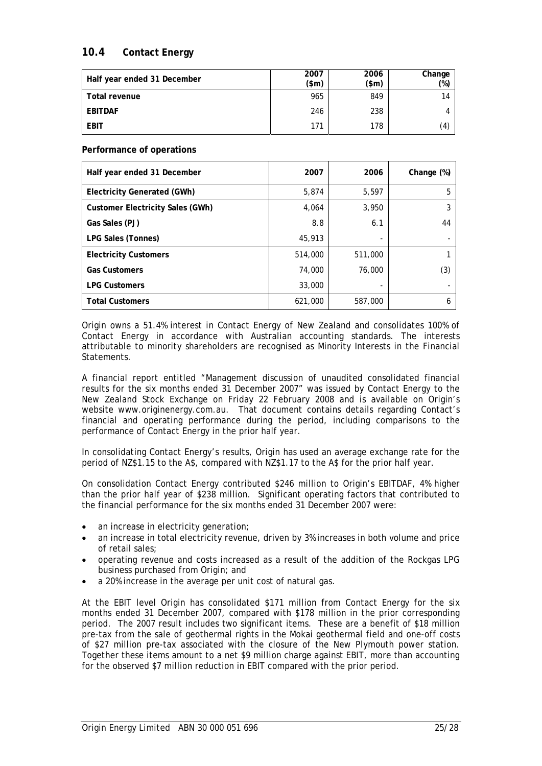## **10.4 Contact Energy**

| Half year ended 31 December | 2007<br>\$m\$ | 2006<br>$(\text{5m})$ | Change<br>(%) |
|-----------------------------|---------------|-----------------------|---------------|
| Total revenue               | 965           | 849                   | 14            |
| EBITDAF                     | 246           | 238                   |               |
| EBIT                        | 171           | 178                   | (4)           |

**Performance of operations** 

| Half year ended 31 December             | 2007    | 2006    | Change (%) |
|-----------------------------------------|---------|---------|------------|
| Electricity Generated (GWh)             | 5,874   | 5,597   | 5          |
| <b>Customer Electricity Sales (GWh)</b> | 4,064   | 3,950   | 3          |
| Gas Sales (PJ)                          | 8.8     | 6.1     | 44         |
| LPG Sales (Tonnes)                      | 45,913  |         |            |
| <b>Electricity Customers</b>            | 514,000 | 511,000 |            |
| <b>Gas Customers</b>                    | 74,000  | 76,000  | (3)        |
| <b>LPG Customers</b>                    | 33,000  |         |            |
| <b>Total Customers</b>                  | 621,000 | 587,000 | 6          |

Origin owns a 51.4% interest in Contact Energy of New Zealand and consolidates 100% of Contact Energy in accordance with Australian accounting standards. The interests attributable to minority shareholders are recognised as Minority Interests in the Financial Statements.

A financial report entitled "Management discussion of unaudited consolidated financial results for the six months ended 31 December 2007" was issued by Contact Energy to the New Zealand Stock Exchange on Friday 22 February 2008 and is available on Origin's website www.originenergy.com.au. That document contains details regarding Contact's financial and operating performance during the period, including comparisons to the performance of Contact Energy in the prior half year.

In consolidating Contact Energy's results, Origin has used an average exchange rate for the period of NZ\$1.15 to the A\$, compared with NZ\$1.17 to the A\$ for the prior half year.

On consolidation Contact Energy contributed \$246 million to Origin's EBITDAF, 4% higher than the prior half year of \$238 million. Significant operating factors that contributed to the financial performance for the six months ended 31 December 2007 were:

- an increase in electricity generation;
- an increase in total electricity revenue, driven by 3% increases in both volume and price of retail sales;
- operating revenue and costs increased as a result of the addition of the Rockgas LPG business purchased from Origin; and
- a 20% increase in the average per unit cost of natural gas.

At the EBIT level Origin has consolidated \$171 million from Contact Energy for the six months ended 31 December 2007, compared with \$178 million in the prior corresponding period. The 2007 result includes two significant items. These are a benefit of \$18 million pre-tax from the sale of geothermal rights in the Mokai geothermal field and one-off costs of \$27 million pre-tax associated with the closure of the New Plymouth power station. Together these items amount to a net \$9 million charge against EBIT, more than accounting for the observed \$7 million reduction in EBIT compared with the prior period.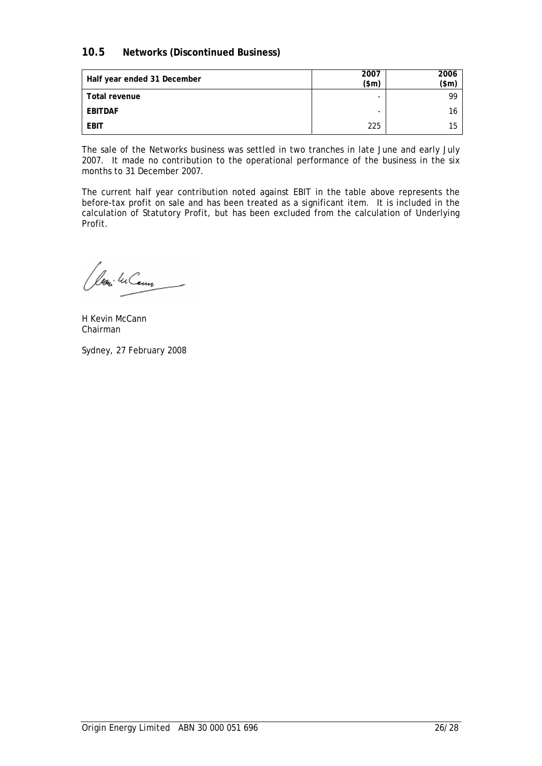## **10.5 Networks (Discontinued Business)**

| Half year ended 31 December | 2007<br>\$m\$ | 2006<br>(\$m) |
|-----------------------------|---------------|---------------|
| Total revenue               | -             | 99            |
| <b>EBITDAF</b>              | -             | 16            |
| <b>EBIT</b>                 | 225           | 15            |

The sale of the Networks business was settled in two tranches in late June and early July 2007. It made no contribution to the operational performance of the business in the six months to 31 December 2007.

The current half year contribution noted against EBIT in the table above represents the before-tax profit on sale and has been treated as a significant item. It is included in the calculation of Statutory Profit, but has been excluded from the calculation of Underlying Profit.

loni <sup>lec</sup>Cenn

H Kevin McCann Chairman

Sydney, 27 February 2008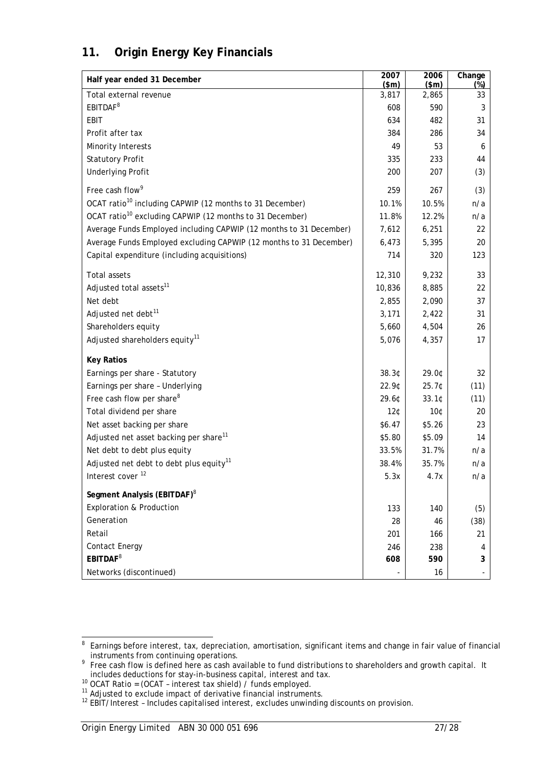# **11. Origin Energy Key Financials**

| Half year ended 31 December                                          | 2007<br>\$m\$   | 2006<br>\$m\$ | Change<br>$(\%)$ |
|----------------------------------------------------------------------|-----------------|---------------|------------------|
| Total external revenue                                               | 3,817           | 2,865         | 33               |
| EBITDAF <sup>8</sup>                                                 | 608             | 590           | 3                |
| EBIT                                                                 | 634             | 482           | 31               |
| Profit after tax                                                     | 384             | 286           | 34               |
| Minority Interests                                                   | 49              | 53            | 6                |
| <b>Statutory Profit</b>                                              | 335             | 233           | 44               |
| <b>Underlying Profit</b>                                             | 200             | 207           | (3)              |
| Free cash flow <sup>9</sup>                                          | 259             | 267           | (3)              |
| OCAT ratio <sup>10</sup> including CAPWIP (12 months to 31 December) | 10.1%           | 10.5%         | n/a              |
| OCAT ratio <sup>10</sup> excluding CAPWIP (12 months to 31 December) | 11.8%           | 12.2%         | n/a              |
| Average Funds Employed including CAPWIP (12 months to 31 December)   | 7,612           | 6,251         | 22               |
| Average Funds Employed excluding CAPWIP (12 months to 31 December)   | 6,473           | 5,395         | 20               |
| Capital expenditure (including acquisitions)                         | 714             | 320           | 123              |
| Total assets                                                         | 12,310          | 9,232         | 33               |
| Adjusted total assets <sup>11</sup>                                  | 10,836          | 8,885         | 22               |
| Net debt                                                             | 2,855           | 2,090         | 37               |
| Adjusted net debt <sup>11</sup>                                      | 3,171           | 2,422         | 31               |
| Shareholders equity                                                  | 5,660           | 4,504         | 26               |
| Adjusted shareholders equity <sup>11</sup>                           | 5,076           | 4,357         | 17               |
| <b>Key Ratios</b>                                                    |                 |               |                  |
| Earnings per share - Statutory                                       | 38.3¢           | 29.0¢         | 32               |
| Earnings per share - Underlying                                      | 22.9¢           | 25.7¢         | (11)             |
| Free cash flow per share <sup>8</sup>                                | 29.60           | 33.1C         | (11)             |
| Total dividend per share                                             | 12 <sub>0</sub> | 10¢           | 20               |
| Net asset backing per share                                          | \$6.47          | \$5.26        | 23               |
| Adjusted net asset backing per share <sup>11</sup>                   | \$5.80          | \$5.09        | 14               |
| Net debt to debt plus equity                                         | 33.5%           | 31.7%         | n/a              |
| Adjusted net debt to debt plus equity <sup>11</sup>                  | 38.4%           | 35.7%         | n/a              |
| Interest cover <sup>12</sup>                                         | 5.3x            | 4.7x          | n/a              |
| Segment Analysis (EBITDAF) <sup>8</sup>                              |                 |               |                  |
| Exploration & Production                                             | 133             | 140           | (5)              |
| Generation                                                           | 28              | 46            | (38)             |
| Retail                                                               | 201             | 166           | 21               |
| Contact Energy                                                       | 246             | 238           | 4                |
| EBITDAF <sup>8</sup>                                                 | 608             | 590           | 3                |
| Networks (discontinued)                                              |                 | 16            |                  |

**Example 2**<br>Bearnings before interest, tax, depreciation, amortisation, significant items and change in fair value of financial

instruments from continuing operations. 9 Free cash flow is defined here as cash available to fund distributions to shareholders and growth capital. It includes deductions for stay-in-business capital, interest and tax.<br>
<sup>10</sup> OCAT Ratio = (OCAT - interest tax shield) / funds employed.<br>
<sup>11</sup> Adjusted to exclude impact of derivative financial instruments.<br>
<sup>12</sup> EBIT/Interes